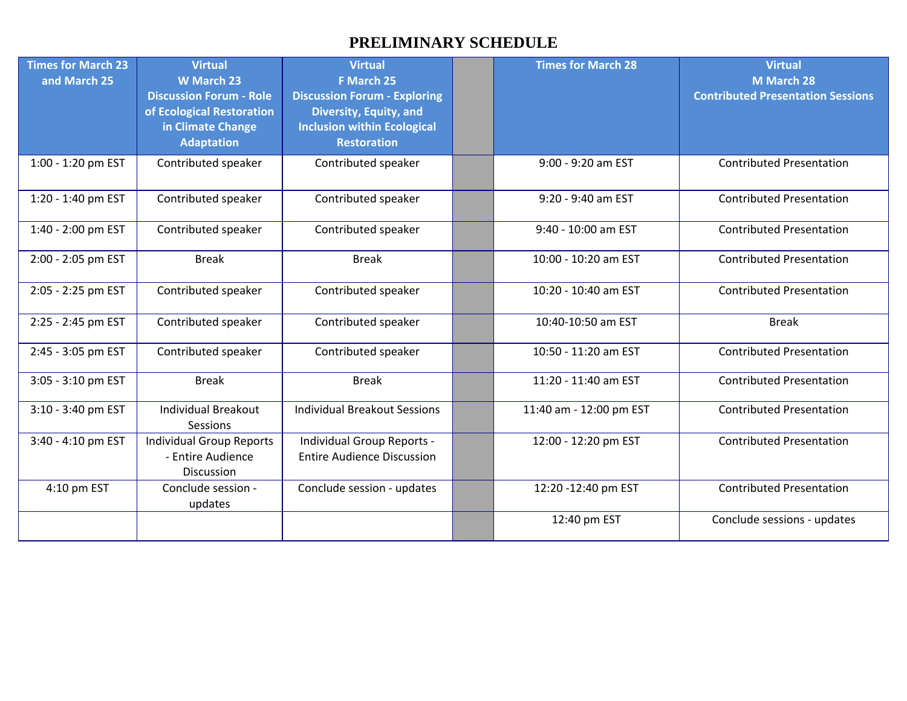## **PRELIMINARY SCHEDULE**

| <b>Times for March 23</b><br>and March 25 | <b>Virtual</b><br><b>W</b> March 23<br><b>Discussion Forum - Role</b><br>of Ecological Restoration<br>in Climate Change<br><b>Adaptation</b> | <b>Virtual</b><br>F March 25<br><b>Discussion Forum - Exploring</b><br>Diversity, Equity, and<br><b>Inclusion within Ecological</b><br><b>Restoration</b> | <b>Times for March 28</b> | <b>Virtual</b><br>M March 28<br><b>Contributed Presentation Sessions</b> |
|-------------------------------------------|----------------------------------------------------------------------------------------------------------------------------------------------|-----------------------------------------------------------------------------------------------------------------------------------------------------------|---------------------------|--------------------------------------------------------------------------|
| 1:00 - 1:20 pm EST                        | Contributed speaker                                                                                                                          | Contributed speaker                                                                                                                                       | 9:00 - 9:20 am EST        | <b>Contributed Presentation</b>                                          |
| 1:20 - 1:40 pm EST                        | Contributed speaker                                                                                                                          | Contributed speaker                                                                                                                                       | 9:20 - 9:40 am EST        | <b>Contributed Presentation</b>                                          |
| 1:40 - 2:00 pm EST                        | Contributed speaker                                                                                                                          | Contributed speaker                                                                                                                                       | 9:40 - 10:00 am EST       | <b>Contributed Presentation</b>                                          |
| 2:00 - 2:05 pm EST                        | <b>Break</b>                                                                                                                                 | <b>Break</b>                                                                                                                                              | 10:00 - 10:20 am EST      | <b>Contributed Presentation</b>                                          |
| 2:05 - 2:25 pm EST                        | Contributed speaker                                                                                                                          | Contributed speaker                                                                                                                                       | 10:20 - 10:40 am EST      | <b>Contributed Presentation</b>                                          |
| 2:25 - 2:45 pm EST                        | Contributed speaker                                                                                                                          | Contributed speaker                                                                                                                                       | 10:40-10:50 am EST        | <b>Break</b>                                                             |
| 2:45 - 3:05 pm EST                        | Contributed speaker                                                                                                                          | Contributed speaker                                                                                                                                       | 10:50 - 11:20 am EST      | <b>Contributed Presentation</b>                                          |
| 3:05 - 3:10 pm EST                        | <b>Break</b>                                                                                                                                 | <b>Break</b>                                                                                                                                              | 11:20 - 11:40 am EST      | <b>Contributed Presentation</b>                                          |
| 3:10 - 3:40 pm EST                        | <b>Individual Breakout</b><br>Sessions                                                                                                       | <b>Individual Breakout Sessions</b>                                                                                                                       | 11:40 am - 12:00 pm EST   | <b>Contributed Presentation</b>                                          |
| 3:40 - 4:10 pm EST                        | <b>Individual Group Reports</b><br>- Entire Audience<br><b>Discussion</b>                                                                    | Individual Group Reports -<br><b>Entire Audience Discussion</b>                                                                                           | 12:00 - 12:20 pm EST      | <b>Contributed Presentation</b>                                          |
| 4:10 pm EST                               | Conclude session -<br>updates                                                                                                                | Conclude session - updates                                                                                                                                | 12:20 -12:40 pm EST       | <b>Contributed Presentation</b>                                          |
|                                           |                                                                                                                                              |                                                                                                                                                           | 12:40 pm EST              | Conclude sessions - updates                                              |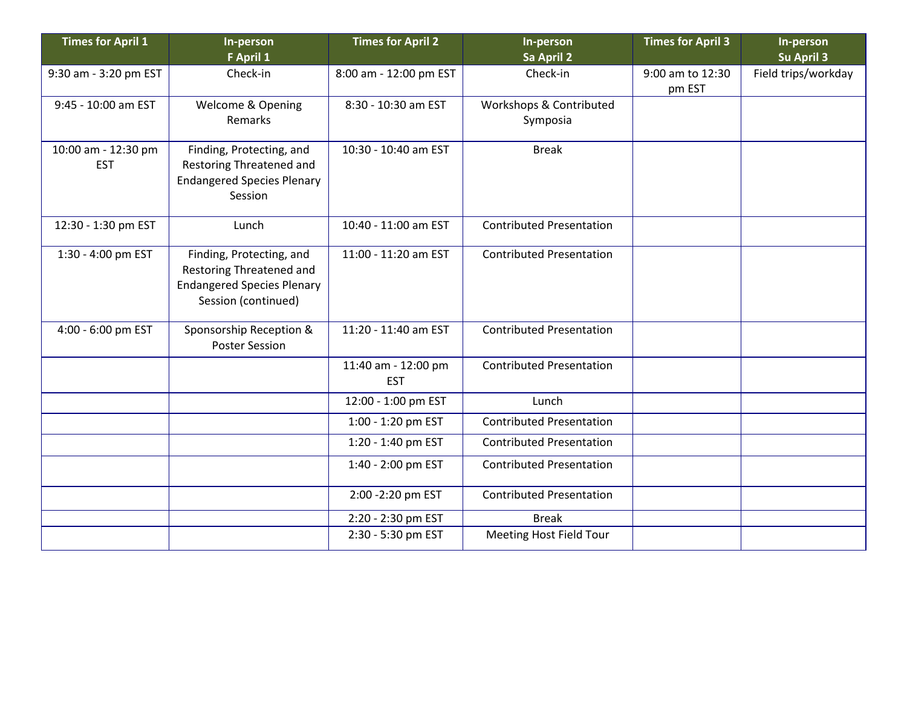| <b>Times for April 1</b>          | In-person<br>F April 1                                                                                           | <b>Times for April 2</b>          | In-person<br>Sa April 2             | <b>Times for April 3</b>   | In-person<br>Su April 3 |
|-----------------------------------|------------------------------------------------------------------------------------------------------------------|-----------------------------------|-------------------------------------|----------------------------|-------------------------|
| 9:30 am - 3:20 pm EST             | Check-in                                                                                                         | 8:00 am - 12:00 pm EST            | Check-in                            | 9:00 am to 12:30<br>pm EST | Field trips/workday     |
| 9:45 - 10:00 am EST               | Welcome & Opening<br>Remarks                                                                                     | 8:30 - 10:30 am EST               | Workshops & Contributed<br>Symposia |                            |                         |
| 10:00 am - 12:30 pm<br><b>EST</b> | Finding, Protecting, and<br>Restoring Threatened and<br><b>Endangered Species Plenary</b><br>Session             | 10:30 - 10:40 am EST              | <b>Break</b>                        |                            |                         |
| 12:30 - 1:30 pm EST               | Lunch                                                                                                            | 10:40 - 11:00 am EST              | <b>Contributed Presentation</b>     |                            |                         |
| 1:30 - 4:00 pm EST                | Finding, Protecting, and<br>Restoring Threatened and<br><b>Endangered Species Plenary</b><br>Session (continued) | 11:00 - 11:20 am EST              | <b>Contributed Presentation</b>     |                            |                         |
| 4:00 - 6:00 pm EST                | Sponsorship Reception &<br><b>Poster Session</b>                                                                 | 11:20 - 11:40 am EST              | <b>Contributed Presentation</b>     |                            |                         |
|                                   |                                                                                                                  | 11:40 am - 12:00 pm<br><b>EST</b> | <b>Contributed Presentation</b>     |                            |                         |
|                                   |                                                                                                                  | 12:00 - 1:00 pm EST               | Lunch                               |                            |                         |
|                                   |                                                                                                                  | 1:00 - 1:20 pm EST                | <b>Contributed Presentation</b>     |                            |                         |
|                                   |                                                                                                                  | 1:20 - 1:40 pm EST                | <b>Contributed Presentation</b>     |                            |                         |
|                                   |                                                                                                                  | 1:40 - 2:00 pm EST                | <b>Contributed Presentation</b>     |                            |                         |
|                                   |                                                                                                                  | 2:00 - 2:20 pm EST                | <b>Contributed Presentation</b>     |                            |                         |
|                                   |                                                                                                                  | 2:20 - 2:30 pm EST                | <b>Break</b>                        |                            |                         |
|                                   |                                                                                                                  | 2:30 - 5:30 pm EST                | Meeting Host Field Tour             |                            |                         |